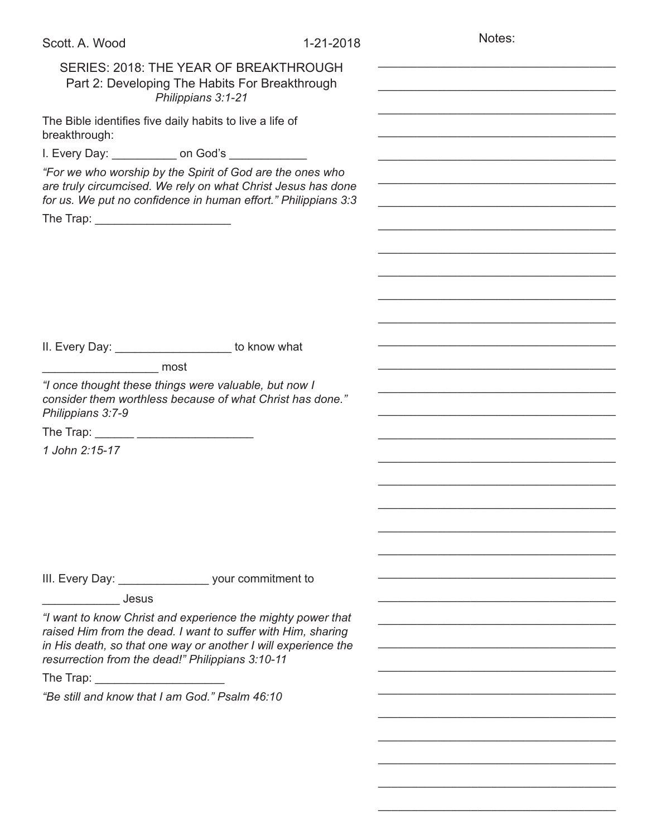| Scott. A. Wood                                   | 1-21-2018                                                                                                                                                                                     | Notes: |
|--------------------------------------------------|-----------------------------------------------------------------------------------------------------------------------------------------------------------------------------------------------|--------|
|                                                  | SERIES: 2018: THE YEAR OF BREAKTHROUGH<br>Part 2: Developing The Habits For Breakthrough<br>Philippians 3:1-21                                                                                |        |
| breakthrough:                                    | The Bible identifies five daily habits to live a life of                                                                                                                                      |        |
|                                                  | I. Every Day: _____________ on God's ____________                                                                                                                                             |        |
|                                                  | "For we who worship by the Spirit of God are the ones who<br>are truly circumcised. We rely on what Christ Jesus has done<br>for us. We put no confidence in human effort." Philippians 3:3   |        |
| The Trap: ___________________________            |                                                                                                                                                                                               |        |
|                                                  |                                                                                                                                                                                               |        |
|                                                  |                                                                                                                                                                                               |        |
|                                                  |                                                                                                                                                                                               |        |
|                                                  | II. Every Day: ______________________ to know what                                                                                                                                            |        |
| _____________________ most                       |                                                                                                                                                                                               |        |
| Philippians 3:7-9                                | "I once thought these things were valuable, but now I<br>consider them worthless because of what Christ has done."                                                                            |        |
| The Trap: _______ _______________________        |                                                                                                                                                                                               |        |
| 1 John 2:15-17                                   |                                                                                                                                                                                               |        |
|                                                  |                                                                                                                                                                                               |        |
|                                                  |                                                                                                                                                                                               |        |
|                                                  |                                                                                                                                                                                               |        |
|                                                  |                                                                                                                                                                                               |        |
|                                                  |                                                                                                                                                                                               |        |
|                                                  |                                                                                                                                                                                               |        |
|                                                  | III. Every Day: ________________________ your commitment to                                                                                                                                   |        |
| <b>Jesus</b>                                     |                                                                                                                                                                                               |        |
| resurrection from the dead!" Philippians 3:10-11 | "I want to know Christ and experience the mighty power that<br>raised Him from the dead. I want to suffer with Him, sharing<br>in His death, so that one way or another I will experience the |        |
|                                                  |                                                                                                                                                                                               |        |
| "Be still and know that I am God." Psalm 46:10   |                                                                                                                                                                                               |        |
|                                                  |                                                                                                                                                                                               |        |
|                                                  |                                                                                                                                                                                               |        |
|                                                  |                                                                                                                                                                                               |        |
|                                                  |                                                                                                                                                                                               |        |
|                                                  |                                                                                                                                                                                               |        |

\_\_\_\_\_\_\_\_\_\_\_\_\_\_\_\_\_\_\_\_\_\_\_\_\_\_\_\_\_\_\_\_\_\_\_\_